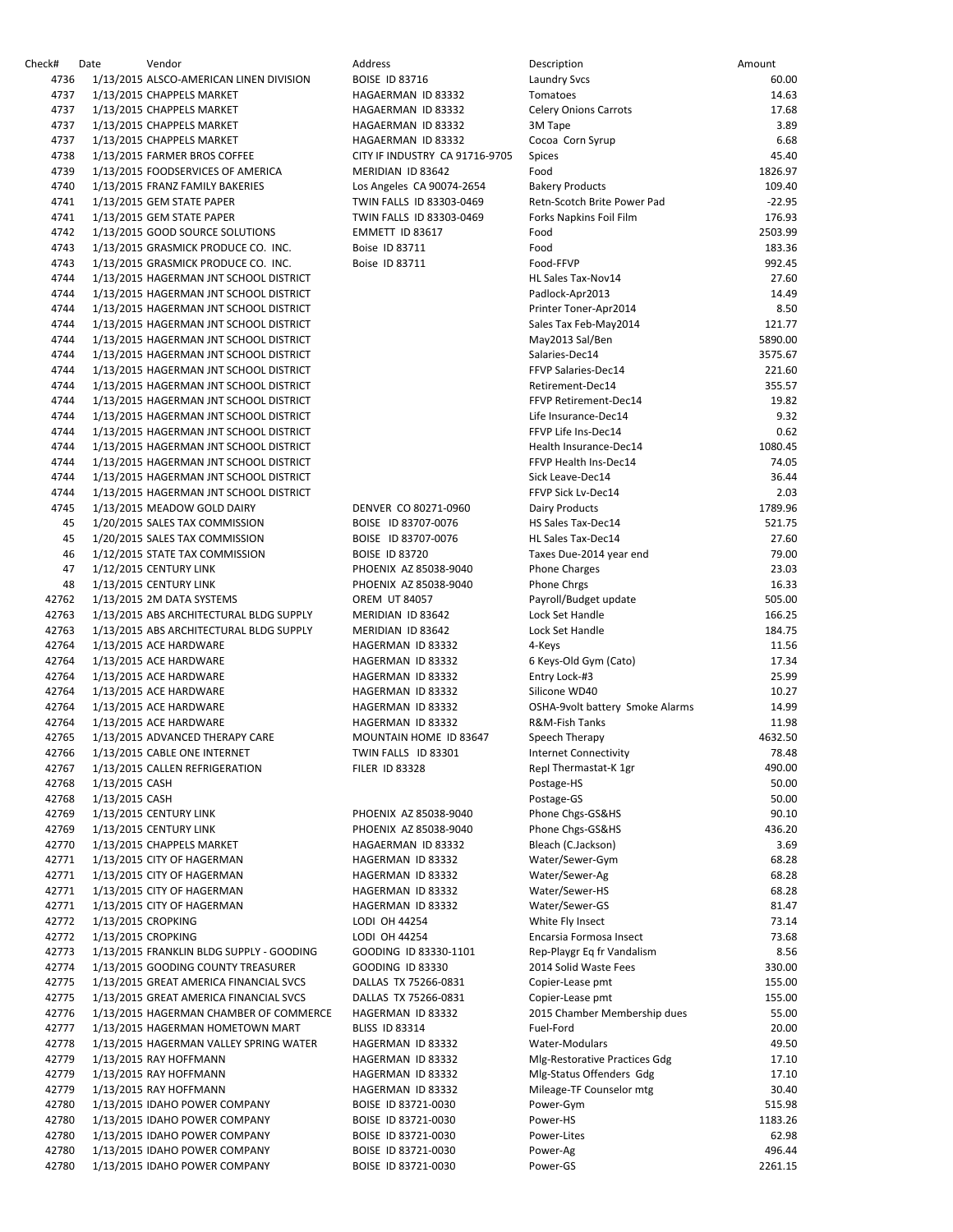| Check# | Date           | Vendor                                   | Address                        | Description                     | Amount   |
|--------|----------------|------------------------------------------|--------------------------------|---------------------------------|----------|
| 4736   |                | 1/13/2015 ALSCO-AMERICAN LINEN DIVISION  | <b>BOISE ID 83716</b>          | <b>Laundry Svcs</b>             | 60.00    |
| 4737   |                | 1/13/2015 CHAPPELS MARKET                | HAGAERMAN ID 83332             | Tomatoes                        | 14.63    |
| 4737   |                | 1/13/2015 CHAPPELS MARKET                | HAGAERMAN ID 83332             | Celery Onions Carrots           | 17.68    |
| 4737   |                | 1/13/2015 CHAPPELS MARKET                | HAGAERMAN ID 83332             | 3M Tape                         | 3.89     |
| 4737   |                | 1/13/2015 CHAPPELS MARKET                | HAGAERMAN ID 83332             | Cocoa Corn Syrup                | 6.68     |
|        |                |                                          |                                |                                 |          |
| 4738   |                | 1/13/2015 FARMER BROS COFFEE             | CITY IF INDUSTRY CA 91716-9705 | Spices                          | 45.40    |
| 4739   |                | 1/13/2015 FOODSERVICES OF AMERICA        | MERIDIAN ID 83642              | Food                            | 1826.97  |
| 4740   |                | 1/13/2015 FRANZ FAMILY BAKERIES          | Los Angeles CA 90074-2654      | <b>Bakery Products</b>          | 109.40   |
| 4741   |                | 1/13/2015 GEM STATE PAPER                | TWIN FALLS ID 83303-0469       | Retn-Scotch Brite Power Pad     | $-22.95$ |
| 4741   |                | 1/13/2015 GEM STATE PAPER                | TWIN FALLS ID 83303-0469       | Forks Napkins Foil Film         | 176.93   |
| 4742   |                | 1/13/2015 GOOD SOURCE SOLUTIONS          | EMMETT ID 83617                | Food                            | 2503.99  |
| 4743   |                | 1/13/2015 GRASMICK PRODUCE CO. INC.      | Boise ID 83711                 | Food                            | 183.36   |
| 4743   |                | 1/13/2015 GRASMICK PRODUCE CO. INC.      | Boise ID 83711                 | Food-FFVP                       | 992.45   |
| 4744   |                | 1/13/2015 HAGERMAN JNT SCHOOL DISTRICT   |                                | HL Sales Tax-Nov14              | 27.60    |
| 4744   |                | 1/13/2015 HAGERMAN JNT SCHOOL DISTRICT   |                                | Padlock-Apr2013                 | 14.49    |
| 4744   |                | 1/13/2015 HAGERMAN JNT SCHOOL DISTRICT   |                                | Printer Toner-Apr2014           | 8.50     |
| 4744   |                | 1/13/2015 HAGERMAN JNT SCHOOL DISTRICT   |                                | Sales Tax Feb-May2014           | 121.77   |
|        |                |                                          |                                |                                 |          |
| 4744   |                | 1/13/2015 HAGERMAN JNT SCHOOL DISTRICT   |                                | May2013 Sal/Ben                 | 5890.00  |
| 4744   |                | 1/13/2015 HAGERMAN JNT SCHOOL DISTRICT   |                                | Salaries-Dec14                  | 3575.67  |
| 4744   |                | 1/13/2015 HAGERMAN JNT SCHOOL DISTRICT   |                                | FFVP Salaries-Dec14             | 221.60   |
| 4744   |                | 1/13/2015 HAGERMAN JNT SCHOOL DISTRICT   |                                | Retirement-Dec14                | 355.57   |
| 4744   |                | 1/13/2015 HAGERMAN JNT SCHOOL DISTRICT   |                                | FFVP Retirement-Dec14           | 19.82    |
| 4744   |                | 1/13/2015 HAGERMAN JNT SCHOOL DISTRICT   |                                | Life Insurance-Dec14            | 9.32     |
| 4744   |                | 1/13/2015 HAGERMAN JNT SCHOOL DISTRICT   |                                | FFVP Life Ins-Dec14             | 0.62     |
| 4744   |                | 1/13/2015 HAGERMAN JNT SCHOOL DISTRICT   |                                | Health Insurance-Dec14          | 1080.45  |
| 4744   |                | 1/13/2015 HAGERMAN JNT SCHOOL DISTRICT   |                                | FFVP Health Ins-Dec14           | 74.05    |
| 4744   |                | 1/13/2015 HAGERMAN JNT SCHOOL DISTRICT   |                                | Sick Leave-Dec14                | 36.44    |
| 4744   |                | 1/13/2015 HAGERMAN JNT SCHOOL DISTRICT   |                                | FFVP Sick Lv-Dec14              | 2.03     |
| 4745   |                | 1/13/2015 MEADOW GOLD DAIRY              | DENVER CO 80271-0960           | <b>Dairy Products</b>           | 1789.96  |
| 45     |                | 1/20/2015 SALES TAX COMMISSION           | BOISE ID 83707-0076            | HS Sales Tax-Dec14              | 521.75   |
| 45     |                | 1/20/2015 SALES TAX COMMISSION           | BOISE ID 83707-0076            | HL Sales Tax-Dec14              | 27.60    |
| 46     |                | 1/12/2015 STATE TAX COMMISSION           | <b>BOISE ID 83720</b>          | Taxes Due-2014 year end         | 79.00    |
| 47     |                |                                          |                                |                                 | 23.03    |
|        |                | 1/12/2015 CENTURY LINK                   | PHOENIX AZ 85038-9040          | <b>Phone Charges</b>            |          |
| 48     |                | 1/13/2015 CENTURY LINK                   | PHOENIX AZ 85038-9040          | Phone Chrgs                     | 16.33    |
| 42762  |                | 1/13/2015 2M DATA SYSTEMS                | <b>OREM UT 84057</b>           | Payroll/Budget update           | 505.00   |
| 42763  |                | 1/13/2015 ABS ARCHITECTURAL BLDG SUPPLY  | MERIDIAN ID 83642              | Lock Set Handle                 | 166.25   |
| 42763  |                | 1/13/2015 ABS ARCHITECTURAL BLDG SUPPLY  | MERIDIAN ID 83642              | Lock Set Handle                 | 184.75   |
| 42764  |                | 1/13/2015 ACE HARDWARE                   | HAGERMAN ID 83332              | 4-Keys                          | 11.56    |
| 42764  |                | 1/13/2015 ACE HARDWARE                   | HAGERMAN ID 83332              | 6 Keys-Old Gym (Cato)           | 17.34    |
| 42764  |                | 1/13/2015 ACE HARDWARE                   | HAGERMAN ID 83332              | Entry Lock-#3                   | 25.99    |
| 42764  |                | 1/13/2015 ACE HARDWARE                   | HAGERMAN ID 83332              | Silicone WD40                   | 10.27    |
| 42764  |                | 1/13/2015 ACE HARDWARE                   | HAGERMAN ID 83332              | OSHA-9volt battery Smoke Alarms | 14.99    |
| 42764  |                | 1/13/2015 ACE HARDWARE                   | HAGERMAN ID 83332              | R&M-Fish Tanks                  | 11.98    |
| 42765  |                | 1/13/2015 ADVANCED THERAPY CARE          | MOUNTAIN HOME ID 83647         | Speech Therapy                  | 4632.50  |
| 42766  |                | 1/13/2015 CABLE ONE INTERNET             | TWIN FALLS ID 83301            | <b>Internet Connectivity</b>    | 78.48    |
| 42767  |                | 1/13/2015 CALLEN REFRIGERATION           | <b>FILER ID 83328</b>          | Repl Thermastat-K 1gr           | 490.00   |
| 42768  | 1/13/2015 CASH |                                          |                                | Postage-HS                      | 50.00    |
| 42768  | 1/13/2015 CASH |                                          |                                | Postage-GS                      | 50.00    |
| 42769  |                | 1/13/2015 CENTURY LINK                   | PHOENIX AZ 85038-9040          | Phone Chgs-GS&HS                | 90.10    |
| 42769  |                | 1/13/2015 CENTURY LINK                   | PHOENIX AZ 85038-9040          | Phone Chgs-GS&HS                | 436.20   |
| 42770  |                | 1/13/2015 CHAPPELS MARKET                | HAGAERMAN ID 83332             | Bleach (C.Jackson)              | 3.69     |
| 42771  |                | 1/13/2015 CITY OF HAGERMAN               |                                | Water/Sewer-Gym                 | 68.28    |
|        |                |                                          | HAGERMAN ID 83332              |                                 |          |
| 42771  |                | 1/13/2015 CITY OF HAGERMAN               | HAGERMAN ID 83332              | Water/Sewer-Ag                  | 68.28    |
| 42771  |                | 1/13/2015 CITY OF HAGERMAN               | HAGERMAN ID 83332              | Water/Sewer-HS                  | 68.28    |
| 42771  |                | 1/13/2015 CITY OF HAGERMAN               | HAGERMAN ID 83332              | Water/Sewer-GS                  | 81.47    |
| 42772  |                | 1/13/2015 CROPKING                       | LODI OH 44254                  | White Fly Insect                | 73.14    |
| 42772  |                | 1/13/2015 CROPKING                       | LODI OH 44254                  | Encarsia Formosa Insect         | 73.68    |
| 42773  |                | 1/13/2015 FRANKLIN BLDG SUPPLY - GOODING | GOODING ID 83330-1101          | Rep-Playgr Eq fr Vandalism      | 8.56     |
| 42774  |                | 1/13/2015 GOODING COUNTY TREASURER       | GOODING ID 83330               | 2014 Solid Waste Fees           | 330.00   |
| 42775  |                | 1/13/2015 GREAT AMERICA FINANCIAL SVCS   | DALLAS TX 75266-0831           | Copier-Lease pmt                | 155.00   |
| 42775  |                | 1/13/2015 GREAT AMERICA FINANCIAL SVCS   | DALLAS TX 75266-0831           | Copier-Lease pmt                | 155.00   |
| 42776  |                | 1/13/2015 HAGERMAN CHAMBER OF COMMERCE   | HAGERMAN ID 83332              | 2015 Chamber Membership dues    | 55.00    |
| 42777  |                | 1/13/2015 HAGERMAN HOMETOWN MART         | <b>BLISS ID 83314</b>          | Fuel-Ford                       | 20.00    |
| 42778  |                | 1/13/2015 HAGERMAN VALLEY SPRING WATER   | HAGERMAN ID 83332              | Water-Modulars                  | 49.50    |
| 42779  |                | 1/13/2015 RAY HOFFMANN                   | HAGERMAN ID 83332              | Mlg-Restorative Practices Gdg   | 17.10    |
| 42779  |                | 1/13/2015 RAY HOFFMANN                   | HAGERMAN ID 83332              | Mlg-Status Offenders Gdg        | 17.10    |
| 42779  |                | 1/13/2015 RAY HOFFMANN                   | HAGERMAN ID 83332              | Mileage-TF Counselor mtg        | 30.40    |
| 42780  |                | 1/13/2015 IDAHO POWER COMPANY            | BOISE ID 83721-0030            | Power-Gym                       | 515.98   |
| 42780  |                | 1/13/2015 IDAHO POWER COMPANY            | BOISE ID 83721-0030            | Power-HS                        | 1183.26  |
| 42780  |                | 1/13/2015 IDAHO POWER COMPANY            | BOISE ID 83721-0030            | Power-Lites                     | 62.98    |
| 42780  |                | 1/13/2015 IDAHO POWER COMPANY            | BOISE ID 83721-0030            |                                 | 496.44   |
|        |                |                                          |                                | Power-Ag                        |          |
| 42780  |                | 1/13/2015 IDAHO POWER COMPANY            | BOISE ID 83721-0030            | Power-GS                        | 2261.15  |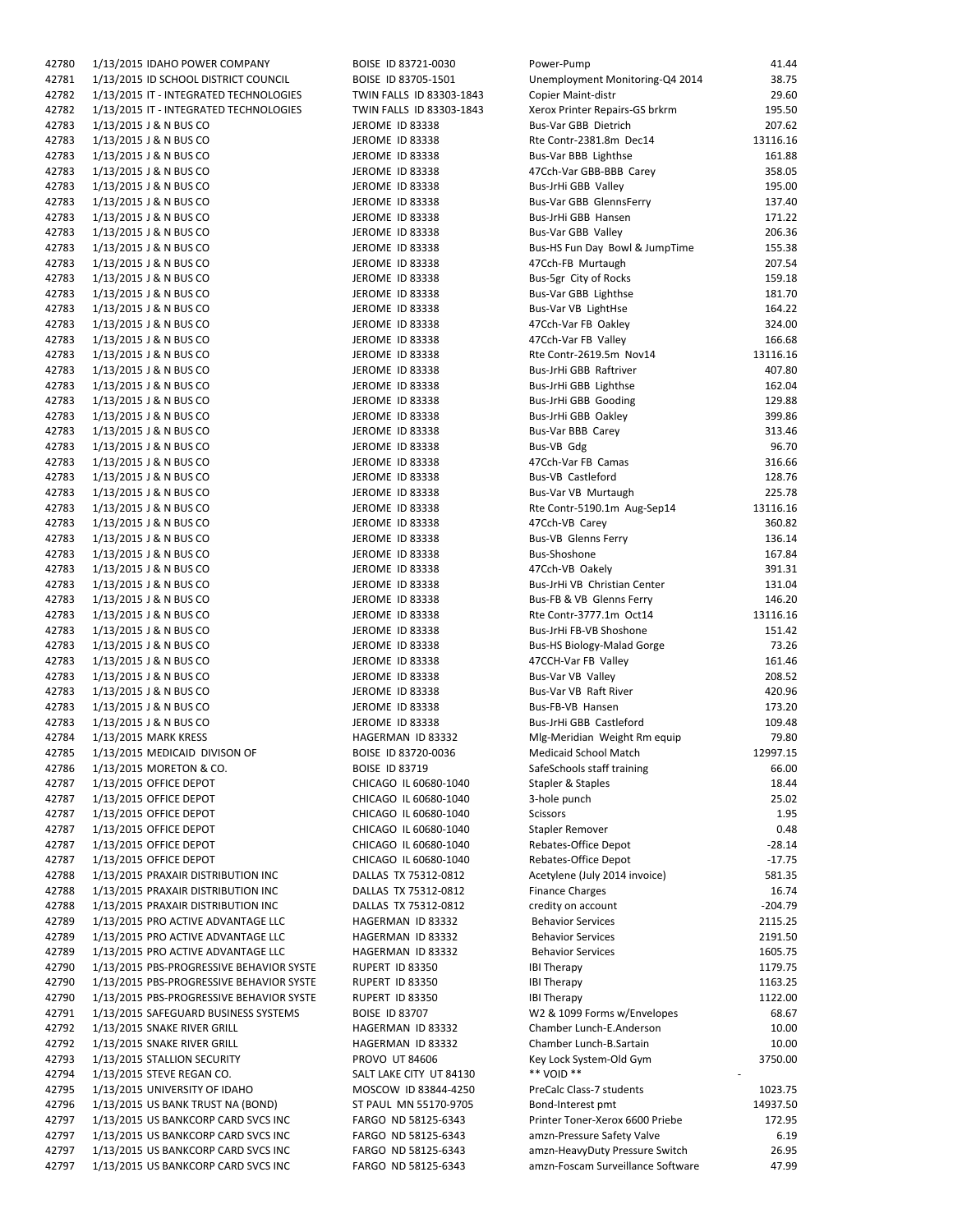| 42780          | 1/13/2015 IDAHO POWER COMPANY                                            | BOISE ID 83721-0030                       | Power-Pump                                               | 41.44              |
|----------------|--------------------------------------------------------------------------|-------------------------------------------|----------------------------------------------------------|--------------------|
| 42781          | 1/13/2015 ID SCHOOL DISTRICT COUNCIL                                     | BOISE ID 83705-1501                       | Unemployment Monitoring-Q4 2014                          | 38.75              |
| 42782          | 1/13/2015 IT - INTEGRATED TECHNOLOGIES                                   | TWIN FALLS ID 83303-1843                  | Copier Maint-distr                                       | 29.60              |
| 42782          | 1/13/2015 IT - INTEGRATED TECHNOLOGIES                                   | TWIN FALLS ID 83303-1843                  | Xerox Printer Repairs-GS brkrm                           | 195.50             |
| 42783          | 1/13/2015 J & N BUS CO                                                   | JEROME ID 83338                           | Bus-Var GBB Dietrich                                     | 207.62             |
| 42783          | 1/13/2015 J & N BUS CO                                                   | <b>JEROME ID 83338</b>                    | Rte Contr-2381.8m Dec14                                  | 13116.16           |
| 42783          | 1/13/2015 J & N BUS CO                                                   | JEROME ID 83338                           | Bus-Var BBB Lighthse                                     | 161.88             |
| 42783          | 1/13/2015 J & N BUS CO                                                   | JEROME ID 83338                           | 47Cch-Var GBB-BBB Carey                                  | 358.05             |
| 42783<br>42783 | 1/13/2015 J & N BUS CO                                                   | JEROME ID 83338                           | Bus-JrHi GBB Valley<br>Bus-Var GBB GlennsFerry           | 195.00<br>137.40   |
| 42783          | 1/13/2015 J & N BUS CO<br>1/13/2015 J & N BUS CO                         | JEROME ID 83338<br>JEROME ID 83338        | Bus-JrHi GBB Hansen                                      | 171.22             |
| 42783          | 1/13/2015 J & N BUS CO                                                   | JEROME ID 83338                           | Bus-Var GBB Valley                                       | 206.36             |
| 42783          | 1/13/2015 J & N BUS CO                                                   | JEROME ID 83338                           | Bus-HS Fun Day Bowl & JumpTime                           | 155.38             |
| 42783          | 1/13/2015 J & N BUS CO                                                   | JEROME ID 83338                           | 47Cch-FB Murtaugh                                        | 207.54             |
| 42783          | 1/13/2015 J & N BUS CO                                                   | JEROME ID 83338                           | Bus-5gr City of Rocks                                    | 159.18             |
| 42783          | 1/13/2015 J & N BUS CO                                                   | JEROME ID 83338                           | Bus-Var GBB Lighthse                                     | 181.70             |
| 42783          | 1/13/2015 J & N BUS CO                                                   | JEROME ID 83338                           | Bus-Var VB LightHse                                      | 164.22             |
| 42783          | 1/13/2015 J & N BUS CO                                                   | JEROME ID 83338                           | 47Cch-Var FB Oakley                                      | 324.00             |
| 42783          | 1/13/2015 J & N BUS CO                                                   | JEROME ID 83338                           | 47Cch-Var FB Valley                                      | 166.68             |
| 42783          | 1/13/2015 J & N BUS CO                                                   | JEROME ID 83338                           | Rte Contr-2619.5m Nov14                                  | 13116.16           |
| 42783          | 1/13/2015 J & N BUS CO                                                   | JEROME ID 83338                           | Bus-JrHi GBB Raftriver                                   | 407.80             |
| 42783          | 1/13/2015 J & N BUS CO                                                   | JEROME ID 83338                           | Bus-JrHi GBB Lighthse                                    | 162.04             |
| 42783          | 1/13/2015 J & N BUS CO                                                   | JEROME ID 83338                           | Bus-JrHi GBB Gooding                                     | 129.88             |
| 42783          | 1/13/2015 J & N BUS CO                                                   | JEROME ID 83338                           | Bus-JrHi GBB Oakley                                      | 399.86             |
| 42783          | 1/13/2015 J & N BUS CO                                                   | JEROME ID 83338                           | Bus-Var BBB Carey                                        | 313.46             |
| 42783          | 1/13/2015 J & N BUS CO                                                   | JEROME ID 83338                           | Bus-VB Gdg                                               | 96.70              |
| 42783          | 1/13/2015 J & N BUS CO                                                   | JEROME ID 83338                           | 47Cch-Var FB Camas                                       | 316.66             |
| 42783          | 1/13/2015 J & N BUS CO                                                   | JEROME ID 83338                           | Bus-VB Castleford                                        | 128.76             |
| 42783          | 1/13/2015 J & N BUS CO                                                   | JEROME ID 83338                           | Bus-Var VB Murtaugh                                      | 225.78             |
| 42783          | 1/13/2015 J & N BUS CO                                                   | JEROME ID 83338                           | Rte Contr-5190.1m Aug-Sep14                              | 13116.16           |
| 42783          | 1/13/2015 J & N BUS CO                                                   | JEROME ID 83338                           | 47Cch-VB Carey                                           | 360.82             |
| 42783          | 1/13/2015 J & N BUS CO                                                   | JEROME ID 83338                           | <b>Bus-VB Glenns Ferry</b>                               | 136.14             |
| 42783          | 1/13/2015 J & N BUS CO                                                   | JEROME ID 83338                           | Bus-Shoshone                                             | 167.84             |
| 42783          | 1/13/2015 J & N BUS CO                                                   | JEROME ID 83338                           | 47Cch-VB Oakely                                          | 391.31             |
| 42783<br>42783 | 1/13/2015 J & N BUS CO<br>1/13/2015 J & N BUS CO                         | JEROME ID 83338<br>JEROME ID 83338        | Bus-JrHi VB Christian Center<br>Bus-FB & VB Glenns Ferry | 131.04<br>146.20   |
| 42783          | 1/13/2015 J & N BUS CO                                                   | JEROME ID 83338                           | Rte Contr-3777.1m Oct14                                  | 13116.16           |
| 42783          | 1/13/2015 J & N BUS CO                                                   | JEROME ID 83338                           | Bus-JrHi FB-VB Shoshone                                  | 151.42             |
| 42783          | 1/13/2015 J & N BUS CO                                                   | JEROME ID 83338                           | Bus-HS Biology-Malad Gorge                               | 73.26              |
| 42783          | 1/13/2015 J & N BUS CO                                                   | JEROME ID 83338                           | 47CCH-Var FB Valley                                      | 161.46             |
| 42783          | 1/13/2015 J & N BUS CO                                                   | JEROME ID 83338                           | Bus-Var VB Valley                                        | 208.52             |
| 42783          | 1/13/2015 J & N BUS CO                                                   | JEROME ID 83338                           | Bus-Var VB Raft River                                    | 420.96             |
| 42783          | 1/13/2015 J & N BUS CO                                                   | JEROME ID 83338                           | Bus-FB-VB Hansen                                         | 173.20             |
| 42783          | 1/13/2015 J & N BUS CO                                                   | JEROME ID 83338                           | Bus-JrHi GBB Castleford                                  | 109.48             |
| 42784          | 1/13/2015 MARK KRESS                                                     | HAGERMAN ID 83332                         | Mlg-Meridian Weight Rm equip                             | 79.80              |
| 42785          | 1/13/2015 MEDICAID DIVISON OF                                            | BOISE ID 83720-0036                       | Medicaid School Match                                    | 12997.15           |
| 42786          | 1/13/2015 MORETON & CO.                                                  | <b>BOISE ID 83719</b>                     | SafeSchools staff training                               | 66.00              |
| 42787          | 1/13/2015 OFFICE DEPOT                                                   | CHICAGO IL 60680-1040                     | Stapler & Staples                                        | 18.44              |
| 42787          | 1/13/2015 OFFICE DEPOT                                                   | CHICAGO IL 60680-1040                     | 3-hole punch                                             | 25.02              |
| 42787          | 1/13/2015 OFFICE DEPOT                                                   | CHICAGO IL 60680-1040                     | Scissors                                                 | 1.95               |
| 42787          | 1/13/2015 OFFICE DEPOT                                                   | CHICAGO IL 60680-1040                     | Stapler Remover                                          | 0.48               |
| 42787          | 1/13/2015 OFFICE DEPOT                                                   | CHICAGO IL 60680-1040                     | Rebates-Office Depot                                     | $-28.14$           |
| 42787          | 1/13/2015 OFFICE DEPOT                                                   | CHICAGO IL 60680-1040                     | Rebates-Office Depot                                     | $-17.75$           |
| 42788          | 1/13/2015 PRAXAIR DISTRIBUTION INC                                       | DALLAS TX 75312-0812                      | Acetylene (July 2014 invoice)                            | 581.35             |
| 42788          | 1/13/2015 PRAXAIR DISTRIBUTION INC                                       | DALLAS TX 75312-0812                      | <b>Finance Charges</b>                                   | 16.74<br>$-204.79$ |
| 42788          | 1/13/2015 PRAXAIR DISTRIBUTION INC<br>1/13/2015 PRO ACTIVE ADVANTAGE LLC | DALLAS TX 75312-0812<br>HAGERMAN ID 83332 | credity on account<br><b>Behavior Services</b>           | 2115.25            |
| 42789<br>42789 | 1/13/2015 PRO ACTIVE ADVANTAGE LLC                                       | HAGERMAN ID 83332                         | <b>Behavior Services</b>                                 | 2191.50            |
| 42789          | 1/13/2015 PRO ACTIVE ADVANTAGE LLC                                       | HAGERMAN ID 83332                         | <b>Behavior Services</b>                                 | 1605.75            |
| 42790          | 1/13/2015 PBS-PROGRESSIVE BEHAVIOR SYSTE                                 | RUPERT ID 83350                           | <b>IBI Therapy</b>                                       | 1179.75            |
| 42790          | 1/13/2015 PBS-PROGRESSIVE BEHAVIOR SYSTE                                 | RUPERT ID 83350                           | <b>IBI Therapy</b>                                       | 1163.25            |
| 42790          | 1/13/2015 PBS-PROGRESSIVE BEHAVIOR SYSTE                                 | RUPERT ID 83350                           | <b>IBI Therapy</b>                                       | 1122.00            |
| 42791          | 1/13/2015 SAFEGUARD BUSINESS SYSTEMS                                     | <b>BOISE ID 83707</b>                     | W2 & 1099 Forms w/Envelopes                              | 68.67              |
| 42792          | 1/13/2015 SNAKE RIVER GRILL                                              | HAGERMAN ID 83332                         | Chamber Lunch-E.Anderson                                 | 10.00              |
| 42792          | 1/13/2015 SNAKE RIVER GRILL                                              | HAGERMAN ID 83332                         | Chamber Lunch-B.Sartain                                  | 10.00              |
| 42793          | 1/13/2015 STALLION SECURITY                                              | <b>PROVO UT 84606</b>                     | Key Lock System-Old Gym                                  | 3750.00            |
| 42794          | 1/13/2015 STEVE REGAN CO.                                                | SALT LAKE CITY UT 84130                   | ** VOID **                                               |                    |
| 42795          | 1/13/2015 UNIVERSITY OF IDAHO                                            | MOSCOW ID 83844-4250                      | PreCalc Class-7 students                                 | 1023.75            |
| 42796          | 1/13/2015 US BANK TRUST NA (BOND)                                        | ST PAUL MN 55170-9705                     | Bond-Interest pmt                                        | 14937.50           |
| 42797          | 1/13/2015 US BANKCORP CARD SVCS INC                                      | FARGO ND 58125-6343                       | Printer Toner-Xerox 6600 Priebe                          | 172.95             |
| 42797          | 1/13/2015 US BANKCORP CARD SVCS INC                                      | FARGO ND 58125-6343                       | amzn-Pressure Safety Valve                               | 6.19               |
| 42797          | 1/13/2015 US BANKCORP CARD SVCS INC                                      | FARGO ND 58125-6343                       | amzn-HeavyDuty Pressure Switch                           | 26.95              |
| 42797          | 1/13/2015 US BANKCORP CARD SVCS INC                                      | FARGO ND 58125-6343                       | amzn-Foscam Surveillance Software                        | 47.99              |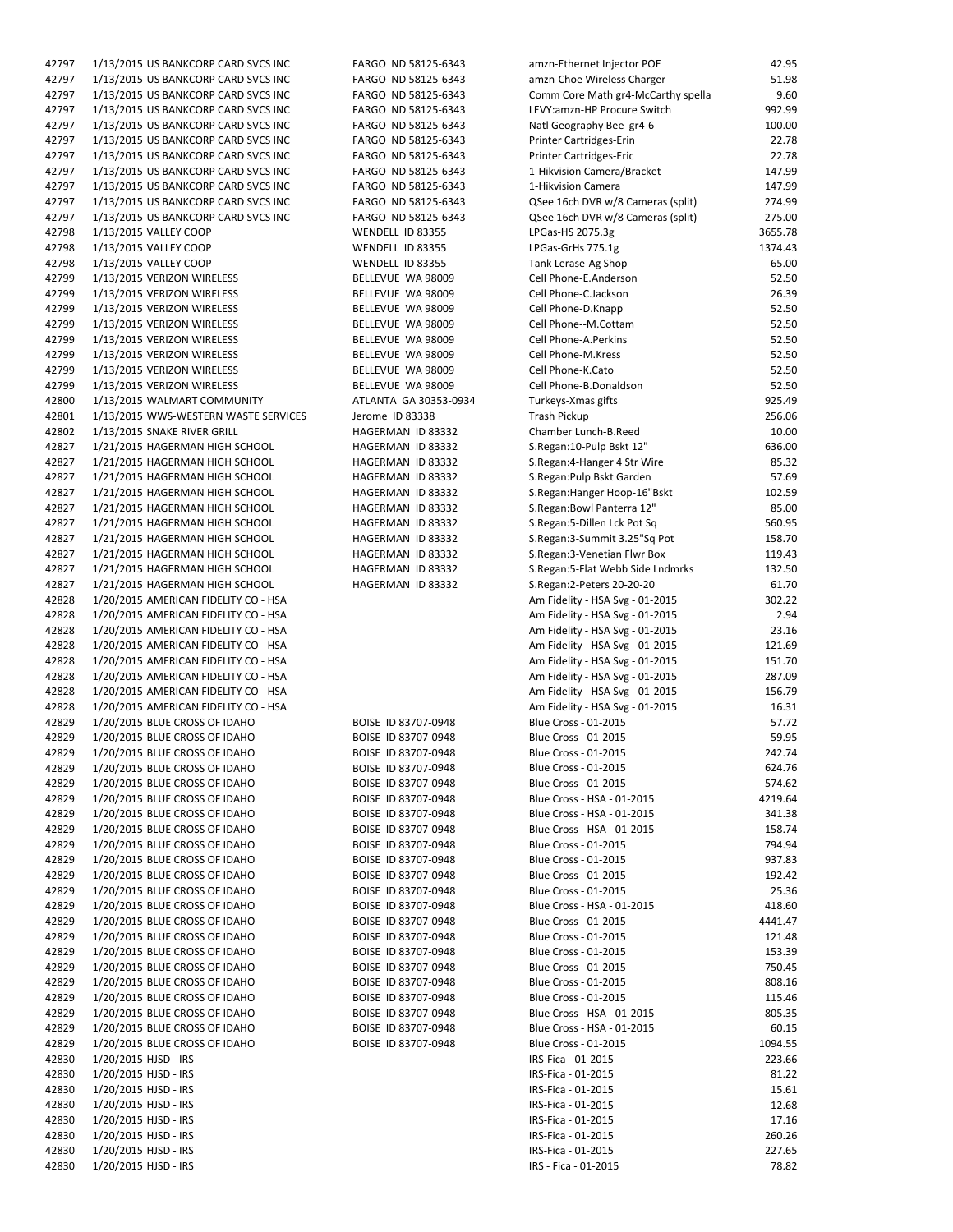| 42797 | 1/13/2015 US BANKCORP CARD SVCS INC  | FARGO ND 58125-6343   | amzn-Ethernet Injector POE         | 42.95   |
|-------|--------------------------------------|-----------------------|------------------------------------|---------|
| 42797 | 1/13/2015 US BANKCORP CARD SVCS INC  | FARGO ND 58125-6343   | amzn-Choe Wireless Charger         | 51.98   |
| 42797 | 1/13/2015 US BANKCORP CARD SVCS INC  | FARGO ND 58125-6343   | Comm Core Math gr4-McCarthy spella | 9.60    |
| 42797 | 1/13/2015 US BANKCORP CARD SVCS INC  | FARGO ND 58125-6343   | LEVY:amzn-HP Procure Switch        | 992.99  |
| 42797 | 1/13/2015 US BANKCORP CARD SVCS INC  | FARGO ND 58125-6343   |                                    | 100.00  |
|       |                                      |                       | Natl Geography Bee gr4-6           |         |
| 42797 | 1/13/2015 US BANKCORP CARD SVCS INC  | FARGO ND 58125-6343   | Printer Cartridges-Erin            | 22.78   |
| 42797 | 1/13/2015 US BANKCORP CARD SVCS INC  | FARGO ND 58125-6343   | Printer Cartridges-Eric            | 22.78   |
| 42797 | 1/13/2015 US BANKCORP CARD SVCS INC  | FARGO ND 58125-6343   | 1-Hikvision Camera/Bracket         | 147.99  |
| 42797 | 1/13/2015 US BANKCORP CARD SVCS INC  | FARGO ND 58125-6343   | 1-Hikvision Camera                 | 147.99  |
| 42797 | 1/13/2015 US BANKCORP CARD SVCS INC  | FARGO ND 58125-6343   | QSee 16ch DVR w/8 Cameras (split)  | 274.99  |
| 42797 | 1/13/2015 US BANKCORP CARD SVCS INC  | FARGO ND 58125-6343   | QSee 16ch DVR w/8 Cameras (split)  | 275.00  |
| 42798 | 1/13/2015 VALLEY COOP                | WENDELL ID 83355      | LPGas-HS 2075.3g                   | 3655.78 |
|       |                                      |                       |                                    |         |
| 42798 | 1/13/2015 VALLEY COOP                | WENDELL ID 83355      | LPGas-GrHs 775.1g                  | 1374.43 |
| 42798 | 1/13/2015 VALLEY COOP                | WENDELL ID 83355      | Tank Lerase-Ag Shop                | 65.00   |
| 42799 | 1/13/2015 VERIZON WIRELESS           | BELLEVUE WA 98009     | Cell Phone-E.Anderson              | 52.50   |
| 42799 | 1/13/2015 VERIZON WIRELESS           | BELLEVUE WA 98009     | Cell Phone-C.Jackson               | 26.39   |
| 42799 | 1/13/2015 VERIZON WIRELESS           | BELLEVUE WA 98009     | Cell Phone-D.Knapp                 | 52.50   |
| 42799 | 1/13/2015 VERIZON WIRELESS           | BELLEVUE WA 98009     | Cell Phone--M.Cottam               | 52.50   |
| 42799 | 1/13/2015 VERIZON WIRELESS           | BELLEVUE WA 98009     | Cell Phone-A.Perkins               | 52.50   |
| 42799 | 1/13/2015 VERIZON WIRELESS           | BELLEVUE WA 98009     | Cell Phone-M.Kress                 | 52.50   |
|       |                                      |                       |                                    |         |
| 42799 | 1/13/2015 VERIZON WIRELESS           | BELLEVUE WA 98009     | Cell Phone-K.Cato                  | 52.50   |
| 42799 | 1/13/2015 VERIZON WIRELESS           | BELLEVUE WA 98009     | Cell Phone-B.Donaldson             | 52.50   |
| 42800 | 1/13/2015 WALMART COMMUNITY          | ATLANTA GA 30353-0934 | Turkeys-Xmas gifts                 | 925.49  |
| 42801 | 1/13/2015 WWS-WESTERN WASTE SERVICES | Jerome ID 83338       | <b>Trash Pickup</b>                | 256.06  |
| 42802 | 1/13/2015 SNAKE RIVER GRILL          | HAGERMAN ID 83332     | Chamber Lunch-B.Reed               | 10.00   |
| 42827 | 1/21/2015 HAGERMAN HIGH SCHOOL       | HAGERMAN ID 83332     | S.Regan:10-Pulp Bskt 12"           | 636.00  |
| 42827 | 1/21/2015 HAGERMAN HIGH SCHOOL       | HAGERMAN ID 83332     | S.Regan:4-Hanger 4 Str Wire        | 85.32   |
|       |                                      |                       |                                    |         |
| 42827 | 1/21/2015 HAGERMAN HIGH SCHOOL       | HAGERMAN ID 83332     | S.Regan: Pulp Bskt Garden          | 57.69   |
| 42827 | 1/21/2015 HAGERMAN HIGH SCHOOL       | HAGERMAN ID 83332     | S.Regan:Hanger Hoop-16"Bskt        | 102.59  |
| 42827 | 1/21/2015 HAGERMAN HIGH SCHOOL       | HAGERMAN ID 83332     | S.Regan:Bowl Panterra 12"          | 85.00   |
| 42827 | 1/21/2015 HAGERMAN HIGH SCHOOL       | HAGERMAN ID 83332     | S.Regan: 5-Dillen Lck Pot Sq       | 560.95  |
| 42827 | 1/21/2015 HAGERMAN HIGH SCHOOL       | HAGERMAN ID 83332     | S.Regan:3-Summit 3.25"Sq Pot       | 158.70  |
| 42827 | 1/21/2015 HAGERMAN HIGH SCHOOL       | HAGERMAN ID 83332     | S. Regan: 3-Venetian Flwr Box      | 119.43  |
| 42827 | 1/21/2015 HAGERMAN HIGH SCHOOL       | HAGERMAN ID 83332     | S. Regan: 5-Flat Webb Side Lndmrks | 132.50  |
|       |                                      |                       |                                    |         |
| 42827 | 1/21/2015 HAGERMAN HIGH SCHOOL       | HAGERMAN ID 83332     | S.Regan: 2-Peters 20-20-20         | 61.70   |
| 42828 | 1/20/2015 AMERICAN FIDELITY CO - HSA |                       | Am Fidelity - HSA Svg - 01-2015    | 302.22  |
| 42828 | 1/20/2015 AMERICAN FIDELITY CO - HSA |                       | Am Fidelity - HSA Svg - 01-2015    | 2.94    |
| 42828 | 1/20/2015 AMERICAN FIDELITY CO - HSA |                       | Am Fidelity - HSA Svg - 01-2015    | 23.16   |
| 42828 | 1/20/2015 AMERICAN FIDELITY CO - HSA |                       | Am Fidelity - HSA Svg - 01-2015    | 121.69  |
| 42828 | 1/20/2015 AMERICAN FIDELITY CO - HSA |                       | Am Fidelity - HSA Svg - 01-2015    | 151.70  |
| 42828 | 1/20/2015 AMERICAN FIDELITY CO - HSA |                       | Am Fidelity - HSA Svg - 01-2015    | 287.09  |
| 42828 | 1/20/2015 AMERICAN FIDELITY CO - HSA |                       | Am Fidelity - HSA Svg - 01-2015    | 156.79  |
|       |                                      |                       |                                    |         |
| 42828 | 1/20/2015 AMERICAN FIDELITY CO - HSA |                       | Am Fidelity - HSA Svg - 01-2015    | 16.31   |
| 42829 | 1/20/2015 BLUE CROSS OF IDAHO        | BOISE ID 83707-0948   | Blue Cross - 01-2015               | 57.72   |
| 42829 | 1/20/2015 BLUE CROSS OF IDAHO        | BOISE ID 83707-0948   | Blue Cross - 01-2015               | 59.95   |
| 42829 | 1/20/2015 BLUE CROSS OF IDAHO        | BOISE ID 83707-0948   | Blue Cross - 01-2015               | 242.74  |
| 42829 | 1/20/2015 BLUE CROSS OF IDAHO        | BOISE ID 83707-0948   | Blue Cross - 01-2015               | 624.76  |
| 42829 | 1/20/2015 BLUE CROSS OF IDAHO        | BOISE ID 83707-0948   | Blue Cross - 01-2015               | 574.62  |
| 42829 | 1/20/2015 BLUE CROSS OF IDAHO        | BOISE ID 83707-0948   | Blue Cross - HSA - 01-2015         | 4219.64 |
|       |                                      |                       |                                    |         |
| 42829 | 1/20/2015 BLUE CROSS OF IDAHO        | BOISE ID 83707-0948   | Blue Cross - HSA - 01-2015         | 341.38  |
| 42829 | 1/20/2015 BLUE CROSS OF IDAHO        | BOISE ID 83707-0948   | Blue Cross - HSA - 01-2015         | 158.74  |
| 42829 | 1/20/2015 BLUE CROSS OF IDAHO        | BOISE ID 83707-0948   | Blue Cross - 01-2015               | 794.94  |
| 42829 | 1/20/2015 BLUE CROSS OF IDAHO        | BOISE ID 83707-0948   | Blue Cross - 01-2015               | 937.83  |
| 42829 | 1/20/2015 BLUE CROSS OF IDAHO        | BOISE ID 83707-0948   | Blue Cross - 01-2015               | 192.42  |
| 42829 | 1/20/2015 BLUE CROSS OF IDAHO        | BOISE ID 83707-0948   | Blue Cross - 01-2015               | 25.36   |
| 42829 | 1/20/2015 BLUE CROSS OF IDAHO        | BOISE ID 83707-0948   | Blue Cross - HSA - 01-2015         | 418.60  |
|       |                                      |                       |                                    |         |
| 42829 | 1/20/2015 BLUE CROSS OF IDAHO        | BOISE ID 83707-0948   | Blue Cross - 01-2015               | 4441.47 |
| 42829 | 1/20/2015 BLUE CROSS OF IDAHO        | BOISE ID 83707-0948   | Blue Cross - 01-2015               | 121.48  |
| 42829 | 1/20/2015 BLUE CROSS OF IDAHO        | BOISE ID 83707-0948   | Blue Cross - 01-2015               | 153.39  |
| 42829 | 1/20/2015 BLUE CROSS OF IDAHO        | BOISE ID 83707-0948   | Blue Cross - 01-2015               | 750.45  |
| 42829 | 1/20/2015 BLUE CROSS OF IDAHO        | BOISE ID 83707-0948   | Blue Cross - 01-2015               | 808.16  |
| 42829 | 1/20/2015 BLUE CROSS OF IDAHO        | BOISE ID 83707-0948   | Blue Cross - 01-2015               | 115.46  |
| 42829 | 1/20/2015 BLUE CROSS OF IDAHO        | BOISE ID 83707-0948   | Blue Cross - HSA - 01-2015         | 805.35  |
|       |                                      |                       |                                    |         |
| 42829 | 1/20/2015 BLUE CROSS OF IDAHO        | BOISE ID 83707-0948   | Blue Cross - HSA - 01-2015         | 60.15   |
| 42829 | 1/20/2015 BLUE CROSS OF IDAHO        | BOISE ID 83707-0948   | Blue Cross - 01-2015               | 1094.55 |
| 42830 | 1/20/2015 HJSD - IRS                 |                       | IRS-Fica - 01-2015                 | 223.66  |
| 42830 | 1/20/2015 HJSD - IRS                 |                       | IRS-Fica - 01-2015                 | 81.22   |
| 42830 | 1/20/2015 HJSD - IRS                 |                       | IRS-Fica - 01-2015                 | 15.61   |
| 42830 | 1/20/2015 HJSD - IRS                 |                       | IRS-Fica - 01-2015                 | 12.68   |
| 42830 | 1/20/2015 HJSD - IRS                 |                       | IRS-Fica - 01-2015                 | 17.16   |
| 42830 | 1/20/2015 HJSD - IRS                 |                       | IRS-Fica - 01-2015                 | 260.26  |
|       |                                      |                       |                                    |         |
| 42830 | 1/20/2015 HJSD - IRS                 |                       | IRS-Fica - 01-2015                 | 227.65  |
| 42830 | 1/20/2015 HJSD - IRS                 |                       | IRS - Fica - 01-2015               | 78.82   |

| ARGO ND 58125-6343    |
|-----------------------|
| ARGO ND 58125-6343    |
| ARGO ND 58125-6343    |
| ARGO ND 58125-6343    |
| ARGO ND 58125-6343    |
| ARGO ND 58125-6343    |
| ARGO ND 58125-6343    |
| ARGO ND 58125-6343    |
|                       |
| ARGO ND 58125-6343    |
| ARGO ND 58125-6343    |
| ARGO ND 58125-6343    |
| /ENDELL ID 83355      |
| ENDELL ID 83355       |
| ENDELL ID 83355       |
| ELLEVUE<br>WA 98009   |
| ELLEVUE WA 98009      |
| ELLEVUE WA 98009      |
| ELLEVUE WA 98009      |
| ELLEVUE WA 98009      |
| WA 98009<br>ELLEVUE   |
| ELLEVUE WA 98009      |
| ELLEVUE WA 98009      |
| TLANTA GA 30353-0934  |
| erome ID 83338        |
| AGERMAN ID 83332      |
| AGERMAN ID 83332      |
| AGERMAN ID 83332      |
| AGERMAN ID 83332      |
| AGERMAN ID 83332      |
| AGERMAN ID 83332      |
| AGERMAN ID 83332      |
| AGERMAN ID 83332      |
| AGERMAN ID 83332      |
|                       |
| AGERMAN ID 83332      |
| AGERMAN ID 83332      |
|                       |
|                       |
|                       |
|                       |
|                       |
|                       |
|                       |
|                       |
| OISE ID 83707-0948    |
| OISE<br>ID 83707-0948 |
| OISE ID 83707-0948    |
| OISE<br>ID 83707-0948 |
| OISE<br>ID 83707-0948 |
| OISE ID 83707-0948    |
| OISE ID 83707-0948    |
| OISE ID 83707-0948    |
|                       |

| 74 J J I | 17 197 2019 OS DANNCOM CAND SVCS INC | כדכס כבבטכ שאו סטוואז |                                    | 74.JJ   |
|----------|--------------------------------------|-----------------------|------------------------------------|---------|
| 42797    | 1/13/2015 US BANKCORP CARD SVCS INC  | FARGO ND 58125-6343   | amzn-Choe Wireless Charger         | 51.98   |
| 42797    | 1/13/2015 US BANKCORP CARD SVCS INC  | FARGO ND 58125-6343   | Comm Core Math gr4-McCarthy spella | 9.60    |
| 42797    | 1/13/2015 US BANKCORP CARD SVCS INC  | FARGO ND 58125-6343   | LEVY:amzn-HP Procure Switch        | 992.99  |
|          |                                      |                       |                                    |         |
| 42797    | 1/13/2015 US BANKCORP CARD SVCS INC  | FARGO ND 58125-6343   | Natl Geography Bee gr4-6           | 100.00  |
| 42797    | 1/13/2015 US BANKCORP CARD SVCS INC  | FARGO ND 58125-6343   | Printer Cartridges-Erin            | 22.78   |
| 42797    | 1/13/2015 US BANKCORP CARD SVCS INC  | FARGO ND 58125-6343   | Printer Cartridges-Eric            | 22.78   |
| 42797    | 1/13/2015 US BANKCORP CARD SVCS INC  | FARGO ND 58125-6343   | 1-Hikvision Camera/Bracket         | 147.99  |
| 42797    | 1/13/2015 US BANKCORP CARD SVCS INC  | FARGO ND 58125-6343   | 1-Hikvision Camera                 | 147.99  |
|          |                                      |                       |                                    |         |
| 42797    | 1/13/2015 US BANKCORP CARD SVCS INC  | FARGO ND 58125-6343   | QSee 16ch DVR w/8 Cameras (split)  | 274.99  |
| 42797    | 1/13/2015 US BANKCORP CARD SVCS INC  | FARGO ND 58125-6343   | QSee 16ch DVR w/8 Cameras (split)  | 275.00  |
| 42798    | 1/13/2015 VALLEY COOP                | WENDELL ID 83355      | LPGas-HS 2075.3g                   | 3655.78 |
| 42798    | 1/13/2015 VALLEY COOP                | WENDELL ID 83355      | LPGas-GrHs 775.1g                  | 1374.43 |
|          |                                      |                       |                                    |         |
| 42798    | 1/13/2015 VALLEY COOP                | WENDELL ID 83355      | Tank Lerase-Ag Shop                | 65.00   |
| 42799    | 1/13/2015 VERIZON WIRELESS           | BELLEVUE WA 98009     | Cell Phone-E.Anderson              | 52.50   |
| 42799    | 1/13/2015 VERIZON WIRELESS           | BELLEVUE WA 98009     | Cell Phone-C.Jackson               | 26.39   |
| 42799    | 1/13/2015 VERIZON WIRELESS           | BELLEVUE WA 98009     | Cell Phone-D.Knapp                 | 52.50   |
| 42799    | 1/13/2015 VERIZON WIRELESS           | BELLEVUE WA 98009     | Cell Phone--M.Cottam               | 52.50   |
|          |                                      |                       |                                    |         |
| 42799    | 1/13/2015 VERIZON WIRELESS           | BELLEVUE WA 98009     | Cell Phone-A.Perkins               | 52.50   |
| 42799    | 1/13/2015 VERIZON WIRELESS           | BELLEVUE WA 98009     | Cell Phone-M.Kress                 | 52.50   |
| 42799    | 1/13/2015 VERIZON WIRELESS           | BELLEVUE WA 98009     | Cell Phone-K.Cato                  | 52.50   |
| 42799    | 1/13/2015 VERIZON WIRELESS           | BELLEVUE WA 98009     | Cell Phone-B.Donaldson             | 52.50   |
|          |                                      |                       |                                    |         |
| 42800    | 1/13/2015 WALMART COMMUNITY          | ATLANTA GA 30353-0934 | Turkeys-Xmas gifts                 | 925.49  |
| 42801    | 1/13/2015 WWS-WESTERN WASTE SERVICES | Jerome ID 83338       | <b>Trash Pickup</b>                | 256.06  |
| 42802    | 1/13/2015 SNAKE RIVER GRILL          | HAGERMAN ID 83332     | Chamber Lunch-B.Reed               | 10.00   |
| 42827    | 1/21/2015 HAGERMAN HIGH SCHOOL       | HAGERMAN ID 83332     | S.Regan:10-Pulp Bskt 12"           | 636.00  |
|          |                                      |                       |                                    |         |
| 42827    | 1/21/2015 HAGERMAN HIGH SCHOOL       | HAGERMAN ID 83332     | S.Regan:4-Hanger 4 Str Wire        | 85.32   |
| 42827    | 1/21/2015 HAGERMAN HIGH SCHOOL       | HAGERMAN ID 83332     | S.Regan:Pulp Bskt Garden           | 57.69   |
| 42827    | 1/21/2015 HAGERMAN HIGH SCHOOL       | HAGERMAN ID 83332     | S.Regan:Hanger Hoop-16"Bskt        | 102.59  |
| 42827    | 1/21/2015 HAGERMAN HIGH SCHOOL       | HAGERMAN ID 83332     | S.Regan:Bowl Panterra 12"          | 85.00   |
| 42827    | 1/21/2015 HAGERMAN HIGH SCHOOL       | HAGERMAN ID 83332     | S.Regan:5-Dillen Lck Pot Sq        | 560.95  |
|          |                                      |                       |                                    |         |
| 42827    | 1/21/2015 HAGERMAN HIGH SCHOOL       | HAGERMAN ID 83332     | S.Regan:3-Summit 3.25"Sq Pot       | 158.70  |
| 42827    | 1/21/2015 HAGERMAN HIGH SCHOOL       | HAGERMAN ID 83332     | S.Regan:3-Venetian Flwr Box        | 119.43  |
| 42827    | 1/21/2015 HAGERMAN HIGH SCHOOL       | HAGERMAN ID 83332     | S.Regan:5-Flat Webb Side Lndmrks   | 132.50  |
| 42827    | 1/21/2015 HAGERMAN HIGH SCHOOL       | HAGERMAN ID 83332     | S.Regan:2-Peters 20-20-20          | 61.70   |
|          |                                      |                       |                                    |         |
| 42828    | 1/20/2015 AMERICAN FIDELITY CO - HSA |                       | Am Fidelity - HSA Svg - 01-2015    | 302.22  |
| 42828    | 1/20/2015 AMERICAN FIDELITY CO - HSA |                       | Am Fidelity - HSA Svg - 01-2015    | 2.94    |
| 42828    | 1/20/2015 AMERICAN FIDELITY CO - HSA |                       | Am Fidelity - HSA Svg - 01-2015    | 23.16   |
| 42828    | 1/20/2015 AMERICAN FIDELITY CO - HSA |                       | Am Fidelity - HSA Svg - 01-2015    | 121.69  |
| 42828    | 1/20/2015 AMERICAN FIDELITY CO - HSA |                       | Am Fidelity - HSA Svg - 01-2015    | 151.70  |
|          |                                      |                       |                                    |         |
| 42828    | 1/20/2015 AMERICAN FIDELITY CO - HSA |                       | Am Fidelity - HSA Svg - 01-2015    | 287.09  |
| 42828    | 1/20/2015 AMERICAN FIDELITY CO - HSA |                       | Am Fidelity - HSA Svg - 01-2015    | 156.79  |
| 42828    | 1/20/2015 AMERICAN FIDELITY CO - HSA |                       | Am Fidelity - HSA Svg - 01-2015    | 16.31   |
| 42829    | 1/20/2015 BLUE CROSS OF IDAHO        | BOISE ID 83707-0948   | Blue Cross - 01-2015               | 57.72   |
|          |                                      |                       |                                    |         |
| 42829    | 1/20/2015 BLUE CROSS OF IDAHO        | BOISE ID 83707-0948   | Blue Cross - 01-2015               | 59.95   |
| 42829    | 1/20/2015 BLUE CROSS OF IDAHO        | BOISE ID 83707-0948   | Blue Cross - 01-2015               | 242.74  |
| 42829    | 1/20/2015 BLUE CROSS OF IDAHO        | BOISE ID 83707-0948   | Blue Cross - 01-2015               | 624.76  |
| 42829    | 1/20/2015 BLUE CROSS OF IDAHO        | BOISE ID 83707-0948   | Blue Cross - 01-2015               | 574.62  |
| 42829    | 1/20/2015 BLUE CROSS OF IDAHO        |                       |                                    | 4219.64 |
|          |                                      | BOISE ID 83707-0948   | Blue Cross - HSA - 01-2015         |         |
| 42829    | 1/20/2015 BLUE CROSS OF IDAHO        | BOISE ID 83707-0948   | Blue Cross - HSA - 01-2015         | 341.38  |
| 42829    | 1/20/2015 BLUE CROSS OF IDAHO        | BOISE ID 83707-0948   | Blue Cross - HSA - 01-2015         | 158.74  |
| 42829    | 1/20/2015 BLUE CROSS OF IDAHO        | BOISE ID 83707-0948   | Blue Cross - 01-2015               | 794.94  |
| 42829    | 1/20/2015 BLUE CROSS OF IDAHO        | BOISE ID 83707-0948   | Blue Cross - 01-2015               | 937.83  |
|          |                                      |                       |                                    |         |
| 42829    | 1/20/2015 BLUE CROSS OF IDAHO        | BOISE ID 83707-0948   | Blue Cross - 01-2015               | 192.42  |
| 42829    | 1/20/2015 BLUE CROSS OF IDAHO        | BOISE ID 83707-0948   | Blue Cross - 01-2015               | 25.36   |
| 42829    | 1/20/2015 BLUE CROSS OF IDAHO        | BOISE ID 83707-0948   | Blue Cross - HSA - 01-2015         | 418.60  |
| 42829    | 1/20/2015 BLUE CROSS OF IDAHO        | BOISE ID 83707-0948   | Blue Cross - 01-2015               | 4441.47 |
| 42829    | 1/20/2015 BLUE CROSS OF IDAHO        |                       | Blue Cross - 01-2015               |         |
|          |                                      | BOISE ID 83707-0948   |                                    | 121.48  |
| 42829    | 1/20/2015 BLUE CROSS OF IDAHO        | BOISE ID 83707-0948   | Blue Cross - 01-2015               | 153.39  |
| 42829    | 1/20/2015 BLUE CROSS OF IDAHO        | BOISE ID 83707-0948   | Blue Cross - 01-2015               | 750.45  |
| 42829    | 1/20/2015 BLUE CROSS OF IDAHO        | BOISE ID 83707-0948   | Blue Cross - 01-2015               | 808.16  |
| 42829    | 1/20/2015 BLUE CROSS OF IDAHO        | BOISE ID 83707-0948   | Blue Cross - 01-2015               | 115.46  |
|          |                                      |                       |                                    |         |
| 42829    | 1/20/2015 BLUE CROSS OF IDAHO        | BOISE ID 83707-0948   | Blue Cross - HSA - 01-2015         | 805.35  |
| 42829    | 1/20/2015 BLUE CROSS OF IDAHO        | BOISE ID 83707-0948   | Blue Cross - HSA - 01-2015         | 60.15   |
| 42829    | 1/20/2015 BLUE CROSS OF IDAHO        | BOISE ID 83707-0948   | Blue Cross - 01-2015               | 1094.55 |
| 42830    | 1/20/2015 HJSD - IRS                 |                       | IRS-Fica - 01-2015                 | 223.66  |
|          |                                      |                       |                                    |         |
| 42830    | 1/20/2015 HJSD - IRS                 |                       | IRS-Fica - 01-2015                 | 81.22   |
| 42830    | 1/20/2015 HJSD - IRS                 |                       | IRS-Fica - 01-2015                 | 15.61   |
| 42830    | 1/20/2015 HJSD - IRS                 |                       | IRS-Fica - 01-2015                 | 12.68   |
| 42830    | 1/20/2015 HJSD - IRS                 |                       | IRS-Fica - 01-2015                 | 17.16   |
| 42830    | 1/20/2015 HJSD - IRS                 |                       | IRS-Fica - 01-2015                 | 260.26  |
|          |                                      |                       |                                    |         |
| 42830    | 1/20/2015 HJSD - IRS                 |                       | IRS-Fica - 01-2015                 | 227.65  |
| 42830    | 1/20/2015 HJSD - IRS                 |                       | IRS - Fica - 01-2015               | 78.82   |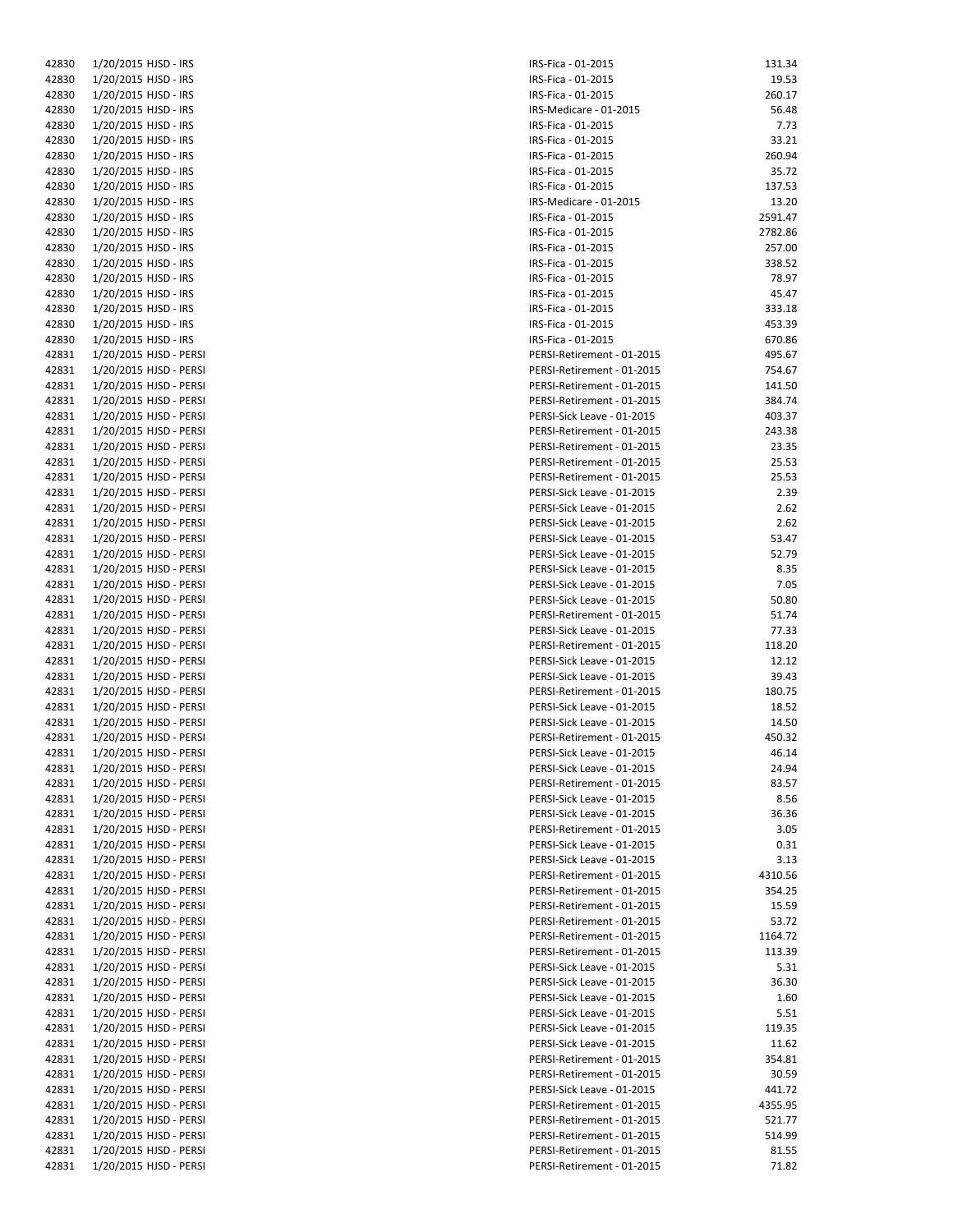| 42830 | 1/20/2015 HJSD - IRS   | IRS-Fi       |
|-------|------------------------|--------------|
| 42830 | 1/20/2015 HJSD - IRS   | IRS-Fi       |
| 42830 | 1/20/2015 HJSD - IRS   | IRS-Fi       |
| 42830 | 1/20/2015 HJSD - IRS   | IRS-M        |
| 42830 | 1/20/2015 HJSD - IRS   | IRS-Fi       |
| 42830 | 1/20/2015 HJSD - IRS   | IRS-Fi       |
| 42830 | 1/20/2015 HJSD - IRS   | IRS-Fi       |
|       |                        |              |
| 42830 | 1/20/2015 HJSD - IRS   | IRS-Fi       |
| 42830 | 1/20/2015 HJSD - IRS   | IRS-Fi       |
| 42830 | 1/20/2015 HJSD - IRS   | IRS-M        |
| 42830 | 1/20/2015 HJSD - IRS   | IRS-Fi       |
| 42830 | 1/20/2015 HJSD - IRS   | IRS-Fi       |
| 42830 | 1/20/2015 HJSD - IRS   | IRS-Fi       |
| 42830 | 1/20/2015 HJSD - IRS   | IRS-Fi       |
| 42830 | 1/20/2015 HJSD - IRS   | IRS-Fi       |
| 42830 | 1/20/2015 HJSD - IRS   | IRS-Fi       |
| 42830 | 1/20/2015 HJSD - IRS   | IRS-Fi       |
| 42830 | 1/20/2015 HJSD - IRS   | IRS-Fi       |
| 42830 | 1/20/2015 HJSD - IRS   | IRS-Fi       |
| 42831 | 1/20/2015 HJSD - PERSI | <b>PERSI</b> |
| 42831 | 1/20/2015 HJSD - PERSI | PERSI        |
| 42831 | 1/20/2015 HJSD - PERSI | <b>PERSI</b> |
| 42831 | 1/20/2015 HJSD - PERSI | PERSI        |
|       | 1/20/2015 HJSD - PERSI |              |
| 42831 |                        | <b>PERSI</b> |
| 42831 | 1/20/2015 HJSD - PERSI | PERSI        |
| 42831 | 1/20/2015 HJSD - PERSI | PERSI        |
| 42831 | 1/20/2015 HJSD - PERSI | PERSI        |
| 42831 | 1/20/2015 HJSD - PERSI | PERSI        |
| 42831 | 1/20/2015 HJSD - PERSI | PERSI        |
| 42831 | 1/20/2015 HJSD - PERSI | PERSI        |
| 42831 | 1/20/2015 HJSD - PERSI | PERSI        |
| 42831 | 1/20/2015 HJSD - PERSI | <b>PERSI</b> |
| 42831 | 1/20/2015 HJSD - PERSI | PERSI        |
| 42831 | 1/20/2015 HJSD - PERSI | PERSI        |
| 42831 | 1/20/2015 HJSD - PERSI | <b>PERSI</b> |
| 42831 | 1/20/2015 HJSD - PERSI | PERSI        |
| 42831 | 1/20/2015 HJSD - PERSI | PERSI        |
| 42831 | 1/20/2015 HJSD - PERSI | PERSI        |
| 42831 | 1/20/2015 HJSD - PERSI | PERSI        |
| 42831 | 1/20/2015 HJSD - PERSI | <b>PERSI</b> |
| 42831 |                        | PERSI        |
|       | 1/20/2015 HJSD - PERSI |              |
| 42831 | 1/20/2015 HJSD - PERSI | <b>PERSI</b> |
| 42831 | 1/20/2015 HJSD - PERSI | PERSI        |
| 42831 | 1/20/2015 HJSD - PERSI | PERSI        |
| 42831 | 1/20/2015 HJSD - PERSI | <b>PERSI</b> |
| 42831 | 1/20/2015 HJSD - PERSI | PERSI        |
| 42831 | 1/20/2015 HJSD - PERSI | PERSI        |
| 42831 | 1/20/2015 HJSD - PERSI | <b>PERSI</b> |
| 42831 | 1/20/2015 HJSD - PERSI | <b>PERSI</b> |
| 42831 | 1/20/2015 HJSD - PERSI | PERSI        |
| 42831 | 1/20/2015 HJSD - PERSI | PERSI        |
| 42831 | 1/20/2015 HJSD - PERSI | <b>PERSI</b> |
| 42831 | 1/20/2015 HJSD - PERSI | PERSI        |
| 42831 | 1/20/2015 HJSD - PERSI | <b>PERSI</b> |
| 42831 | 1/20/2015 HJSD - PERSI | PERSI        |
| 42831 | 1/20/2015 HJSD - PERSI | PERSI        |
| 42831 | 1/20/2015 HJSD - PERSI | <b>PERSI</b> |
| 42831 | 1/20/2015 HJSD - PERSI | PERSI        |
|       | 1/20/2015 HJSD - PERSI |              |
| 42831 |                        | PERSI        |
| 42831 | 1/20/2015 HJSD - PERSI | <b>PERSI</b> |
| 42831 | 1/20/2015 HJSD - PERSI | PERSI        |
| 42831 | 1/20/2015 HJSD - PERSI | PERSI        |
| 42831 | 1/20/2015 HJSD - PERSI | PERSI        |
| 42831 | 1/20/2015 HJSD - PERSI | PERSI        |
| 42831 | 1/20/2015 HJSD - PERSI | PERSI        |
| 42831 | 1/20/2015 HJSD - PERSI | PERSI        |
| 42831 | 1/20/2015 HJSD - PERSI | PERSI        |
| 42831 | 1/20/2015 HJSD - PERSI | <b>PERSI</b> |
| 42831 | 1/20/2015 HJSD - PERSI | PERSI        |
| 42831 | 1/20/2015 HJSD - PERSI | PERSI        |
| 42831 | 1/20/2015 HJSD - PERSI | PERSI        |
| 42831 | 1/20/2015 HJSD - PERSI | PERSI        |
| 42831 | 1/20/2015 HJSD - PERSI | PERSI        |
|       |                        |              |

| IRS-Fica - 01-2015                                       | 131.34            |
|----------------------------------------------------------|-------------------|
| IRS-Fica - 01-2015                                       | 19.53             |
| IRS-Fica - 01-2015<br>IRS-Medicare - 01-2015             | 260.17<br>56.48   |
| IRS-Fica - 01-2015                                       | 7.73              |
| IRS-Fica - 01-2015                                       | 33.21             |
| IRS-Fica - 01-2015                                       | 260.94            |
| IRS-Fica - 01-2015                                       | 35.72             |
| IRS-Fica - 01-2015                                       | 137.53            |
| IRS-Medicare - 01-2015                                   | 13.20             |
| IRS-Fica - 01-2015                                       | 2591.47           |
| IRS-Fica - 01-2015<br>IRS-Fica - 01-2015                 | 2782.86<br>257.00 |
| IRS-Fica - 01-2015                                       | 338.52            |
| IRS-Fica - 01-2015                                       | 78.97             |
| IRS-Fica - 01-2015                                       | 45.47             |
| IRS-Fica - 01-2015                                       | 333.18            |
| IRS-Fica - 01-2015                                       | 453.39            |
| IRS-Fica - 01-2015                                       | 670.86            |
| PERSI-Retirement - 01-2015<br>PERSI-Retirement - 01-2015 | 495.67<br>754.67  |
| PERSI-Retirement - 01-2015                               | 141.50            |
| PERSI-Retirement - 01-2015                               | 384.74            |
| PERSI-Sick Leave - 01-2015                               | 403.37            |
| PERSI-Retirement - 01-2015                               | 243.38            |
| PERSI-Retirement - 01-2015                               | 23.35             |
| PERSI-Retirement - 01-2015                               | 25.53             |
| PERSI-Retirement - 01-2015                               | 25.53             |
| PERSI-Sick Leave - 01-2015<br>PERSI-Sick Leave - 01-2015 | 2.39<br>2.62      |
| PERSI-Sick Leave - 01-2015                               | 2.62              |
| PERSI-Sick Leave - 01-2015                               | 53.47             |
| PERSI-Sick Leave - 01-2015                               | 52.79             |
| PERSI-Sick Leave - 01-2015                               | 8.35              |
| PERSI-Sick Leave - 01-2015                               | 7.05              |
| PERSI-Sick Leave - 01-2015<br>PERSI-Retirement - 01-2015 | 50.80<br>51.74    |
| PERSI-Sick Leave - 01-2015                               | 77.33             |
| PERSI-Retirement - 01-2015                               | 118.20            |
| PERSI-Sick Leave - 01-2015                               | 12.12             |
| PERSI-Sick Leave - 01-2015                               | 39.43             |
| PERSI-Retirement - 01-2015<br>PERSI-Sick Leave - 01-2015 | 180.75<br>18.52   |
| PERSI-Sick Leave - 01-2015                               | 14.50             |
| PERSI-Retirement - 01-2015                               | 450.32            |
| PERSI-Sick Leave - 01-2015                               | 46.14             |
| PERSI-Sick Leave - 01-2015                               | 24.94             |
| PERSI-Retirement - 01-2015                               | 83.57             |
| PERSI-Sick Leave - 01-2015                               | 8.56              |
| PERSI-Sick Leave - 01-2015<br>PERSI-Retirement - 01-2015 | 36.36<br>3.05     |
| PERSI-Sick Leave - 01-2015                               | 0.31              |
| PERSI-Sick Leave - 01-2015                               | 3.13              |
| PERSI-Retirement - 01-2015                               | 4310.56           |
| PERSI-Retirement - 01-2015                               | 354.25            |
| PERSI-Retirement - 01-2015                               | 15.59             |
| PERSI-Retirement - 01-2015                               | 53.72<br>1164.72  |
| PERSI-Retirement - 01-2015<br>PERSI-Retirement - 01-2015 | 113.39            |
| PERSI-Sick Leave - 01-2015                               | 5.31              |
| PERSI-Sick Leave - 01-2015                               | 36.30             |
| PERSI-Sick Leave - 01-2015                               | 1.60              |
| PERSI-Sick Leave - 01-2015                               | 5.51              |
| PERSI-Sick Leave - 01-2015                               | 119.35            |
| PERSI-Sick Leave - 01-2015<br>PERSI-Retirement - 01-2015 | 11.62<br>354.81   |
| PERSI-Retirement - 01-2015                               | 30.59             |
| PERSI-Sick Leave - 01-2015                               | 441.72            |
| PERSI-Retirement - 01-2015                               | 4355.95           |
| PERSI-Retirement - 01-2015                               | 521.77            |
| PERSI-Retirement - 01-2015                               | 514.99            |
| PERSI-Retirement - 01-2015<br>PERSI-Retirement - 01-2015 | 81.55<br>71.82    |
|                                                          |                   |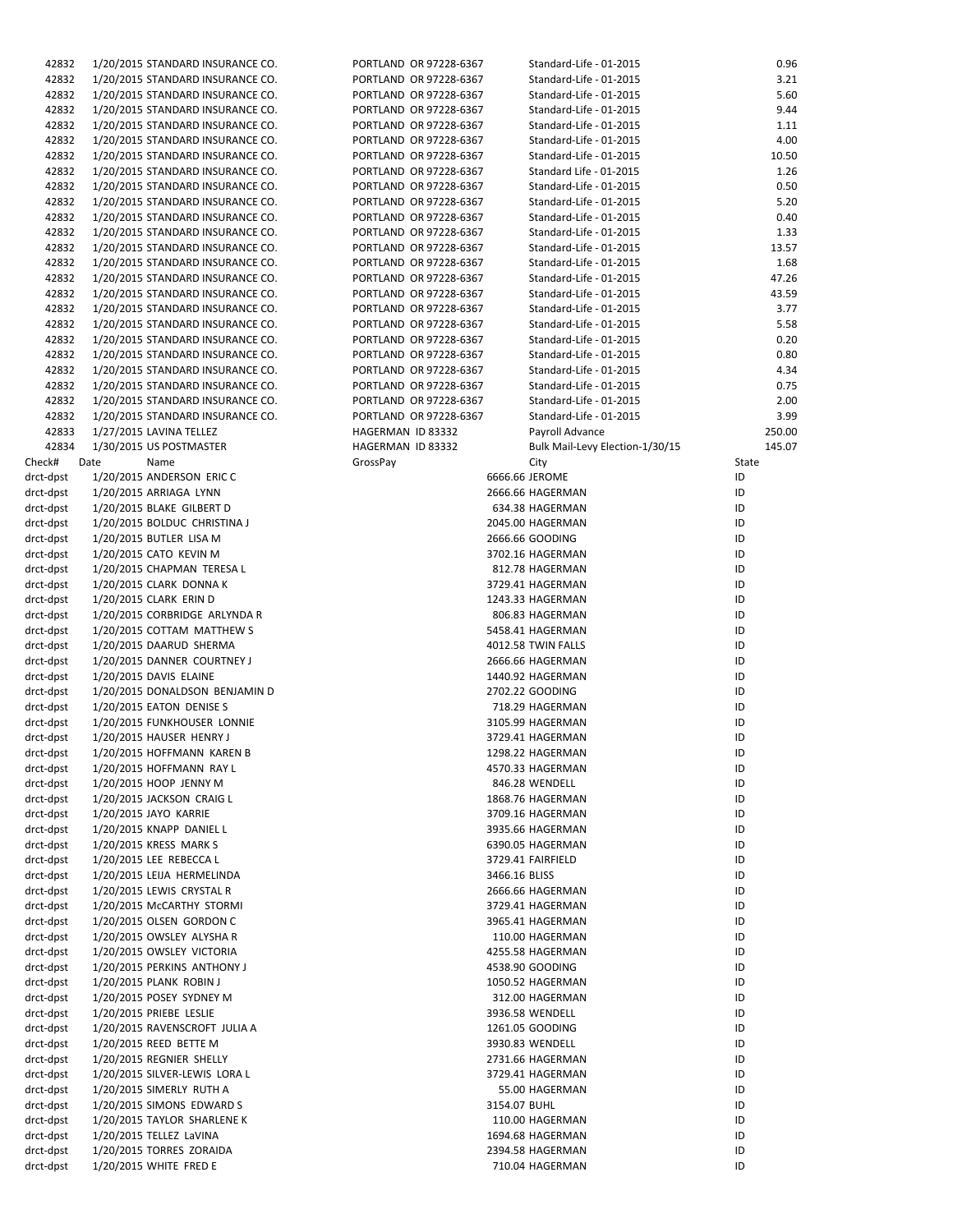| 42832     | 1/20/2015 STANDARD INSURANCE CO. | PORTLAND OR 97228-6367 | Standard-Life - 01-2015         | 0.96   |
|-----------|----------------------------------|------------------------|---------------------------------|--------|
| 42832     | 1/20/2015 STANDARD INSURANCE CO. | PORTLAND OR 97228-6367 | Standard-Life - 01-2015         | 3.21   |
| 42832     | 1/20/2015 STANDARD INSURANCE CO. | PORTLAND OR 97228-6367 | Standard-Life - 01-2015         | 5.60   |
| 42832     | 1/20/2015 STANDARD INSURANCE CO. | PORTLAND OR 97228-6367 | Standard-Life - 01-2015         | 9.44   |
| 42832     | 1/20/2015 STANDARD INSURANCE CO. | PORTLAND OR 97228-6367 | Standard-Life - 01-2015         | 1.11   |
| 42832     | 1/20/2015 STANDARD INSURANCE CO. | PORTLAND OR 97228-6367 | Standard-Life - 01-2015         | 4.00   |
| 42832     | 1/20/2015 STANDARD INSURANCE CO. | PORTLAND OR 97228-6367 | Standard-Life - 01-2015         | 10.50  |
| 42832     | 1/20/2015 STANDARD INSURANCE CO. | PORTLAND OR 97228-6367 | Standard Life - 01-2015         | 1.26   |
| 42832     | 1/20/2015 STANDARD INSURANCE CO. | PORTLAND OR 97228-6367 | Standard-Life - 01-2015         | 0.50   |
| 42832     | 1/20/2015 STANDARD INSURANCE CO. | PORTLAND OR 97228-6367 | Standard-Life - 01-2015         | 5.20   |
| 42832     | 1/20/2015 STANDARD INSURANCE CO. | PORTLAND OR 97228-6367 | Standard-Life - 01-2015         | 0.40   |
| 42832     | 1/20/2015 STANDARD INSURANCE CO. | PORTLAND OR 97228-6367 | Standard-Life - 01-2015         | 1.33   |
| 42832     | 1/20/2015 STANDARD INSURANCE CO. | PORTLAND OR 97228-6367 | Standard-Life - 01-2015         | 13.57  |
| 42832     | 1/20/2015 STANDARD INSURANCE CO. | PORTLAND OR 97228-6367 | Standard-Life - 01-2015         | 1.68   |
| 42832     | 1/20/2015 STANDARD INSURANCE CO. | PORTLAND OR 97228-6367 | Standard-Life - 01-2015         | 47.26  |
| 42832     | 1/20/2015 STANDARD INSURANCE CO. | PORTLAND OR 97228-6367 | Standard-Life - 01-2015         | 43.59  |
| 42832     | 1/20/2015 STANDARD INSURANCE CO. | PORTLAND OR 97228-6367 | Standard-Life - 01-2015         | 3.77   |
| 42832     | 1/20/2015 STANDARD INSURANCE CO. | PORTLAND OR 97228-6367 | Standard-Life - 01-2015         | 5.58   |
| 42832     | 1/20/2015 STANDARD INSURANCE CO. | PORTLAND OR 97228-6367 | Standard-Life - 01-2015         | 0.20   |
| 42832     | 1/20/2015 STANDARD INSURANCE CO. | PORTLAND OR 97228-6367 | Standard-Life - 01-2015         | 0.80   |
| 42832     | 1/20/2015 STANDARD INSURANCE CO. | PORTLAND OR 97228-6367 | Standard-Life - 01-2015         | 4.34   |
| 42832     | 1/20/2015 STANDARD INSURANCE CO. | PORTLAND OR 97228-6367 | Standard-Life - 01-2015         | 0.75   |
| 42832     | 1/20/2015 STANDARD INSURANCE CO. | PORTLAND OR 97228-6367 | Standard-Life - 01-2015         | 2.00   |
| 42832     | 1/20/2015 STANDARD INSURANCE CO. | PORTLAND OR 97228-6367 | Standard-Life - 01-2015         | 3.99   |
| 42833     | 1/27/2015 LAVINA TELLEZ          | HAGERMAN ID 83332      | Payroll Advance                 | 250.00 |
| 42834     | 1/30/2015 US POSTMASTER          | HAGERMAN ID 83332      | Bulk Mail-Levy Election-1/30/15 | 145.07 |
| Check#    | Date<br>Name                     | GrossPay               | City                            | State  |
| drct-dpst | 1/20/2015 ANDERSON ERIC C        |                        | 6666.66 JEROME                  | ID     |
| drct-dpst | 1/20/2015 ARRIAGA LYNN           |                        | 2666.66 HAGERMAN                | ID     |
| drct-dpst | 1/20/2015 BLAKE GILBERT D        |                        | 634.38 HAGERMAN                 | ID     |
| drct-dpst | 1/20/2015 BOLDUC CHRISTINA J     |                        | 2045.00 HAGERMAN                | ID     |
| drct-dpst | 1/20/2015 BUTLER LISA M          |                        | 2666.66 GOODING                 | ID     |
| drct-dpst | 1/20/2015 CATO KEVIN M           |                        | 3702.16 HAGERMAN                | ID     |
| drct-dpst | 1/20/2015 CHAPMAN TERESA L       |                        | 812.78 HAGERMAN                 | ID     |
| drct-dpst | 1/20/2015 CLARK DONNA K          |                        | 3729.41 HAGERMAN                | ID     |
| drct-dpst | 1/20/2015 CLARK ERIN D           |                        | 1243.33 HAGERMAN                | ID     |
| drct-dpst | 1/20/2015 CORBRIDGE ARLYNDA R    |                        | 806.83 HAGERMAN                 | ID     |
| drct-dpst | 1/20/2015 COTTAM MATTHEW S       |                        | 5458.41 HAGERMAN                | ID     |
| drct-dpst | 1/20/2015 DAARUD SHERMA          |                        | 4012.58 TWIN FALLS              | ID     |
| drct-dpst | 1/20/2015 DANNER COURTNEY J      |                        | 2666.66 HAGERMAN                | ID     |
| drct-dpst | 1/20/2015 DAVIS ELAINE           |                        | 1440.92 HAGERMAN                | ID     |
| drct-dpst | 1/20/2015 DONALDSON BENJAMIN D   |                        | 2702.22 GOODING                 | ID     |
| drct-dpst | 1/20/2015 EATON DENISE S         |                        | 718.29 HAGERMAN                 | ID     |
| drct-dpst | 1/20/2015 FUNKHOUSER LONNIE      |                        | 3105.99 HAGERMAN                | ID     |
| drct-dpst | 1/20/2015 HAUSER HENRY J         |                        | 3729.41 HAGERMAN                | ID     |
| drct-dpst | 1/20/2015 HOFFMANN KAREN B       |                        | 1298.22 HAGERMAN                | ID     |
| drct-dpst | 1/20/2015 HOFFMANN RAY L         |                        | 4570.33 HAGERMAN                | ID     |
| drct-dpst | 1/20/2015 HOOP JENNY M           |                        | 846.28 WENDELL                  | ID     |
| drct-dpst | 1/20/2015 JACKSON CRAIG L        |                        | 1868.76 HAGERMAN                | ID     |
| drct-dpst | 1/20/2015 JAYO KARRIE            |                        | 3709.16 HAGERMAN                | ID     |
| drct-dpst | 1/20/2015 KNAPP DANIEL L         |                        | 3935.66 HAGERMAN                | ID     |
| drct-dpst | 1/20/2015 KRESS MARK S           |                        | 6390.05 HAGERMAN                | ID     |
| drct-dpst | 1/20/2015 LEE REBECCA L          |                        | 3729.41 FAIRFIELD               | ID     |
| drct-dpst | 1/20/2015 LEIJA HERMELINDA       |                        | 3466.16 BLISS                   | ID     |
| drct-dpst | 1/20/2015 LEWIS CRYSTAL R        |                        | 2666.66 HAGERMAN                | ID     |
| drct-dpst | 1/20/2015 McCARTHY STORMI        |                        | 3729.41 HAGERMAN                | ID     |
| drct-dpst | 1/20/2015 OLSEN GORDON C         |                        | 3965.41 HAGERMAN                | ID     |
| drct-dpst | 1/20/2015 OWSLEY ALYSHA R        |                        | 110.00 HAGERMAN                 | ID     |
| drct-dpst | 1/20/2015 OWSLEY VICTORIA        |                        | 4255.58 HAGERMAN                | ID     |
| drct-dpst | 1/20/2015 PERKINS ANTHONY J      |                        | 4538.90 GOODING                 | ID     |
| drct-dpst | 1/20/2015 PLANK ROBIN J          |                        | 1050.52 HAGERMAN                | ID     |
| drct-dpst | 1/20/2015 POSEY SYDNEY M         |                        | 312.00 HAGERMAN                 | ID     |
| drct-dpst | 1/20/2015 PRIEBE LESLIE          |                        | 3936.58 WENDELL                 | ID     |
| drct-dpst | 1/20/2015 RAVENSCROFT JULIA A    |                        | 1261.05 GOODING                 | ID     |
| drct-dpst | 1/20/2015 REED BETTE M           |                        | 3930.83 WENDELL                 | ID     |
| drct-dpst | 1/20/2015 REGNIER SHELLY         |                        | 2731.66 HAGERMAN                | ID     |
| drct-dpst | 1/20/2015 SILVER-LEWIS LORA L    |                        | 3729.41 HAGERMAN                | ID     |
| drct-dpst | 1/20/2015 SIMERLY RUTH A         |                        | 55.00 HAGERMAN                  | ID     |
| drct-dpst | 1/20/2015 SIMONS EDWARD S        |                        | 3154.07 BUHL                    | ID     |
| drct-dpst | 1/20/2015 TAYLOR SHARLENE K      |                        | 110.00 HAGERMAN                 | ID     |
| drct-dpst | 1/20/2015 TELLEZ LaVINA          |                        | 1694.68 HAGERMAN                | ID     |
| drct-dpst | 1/20/2015 TORRES ZORAIDA         |                        | 2394.58 HAGERMAN                | ID     |
| drct-dpst | 1/20/2015 WHITE FRED E           |                        | 710.04 HAGERMAN                 | ID     |
|           |                                  |                        |                                 |        |